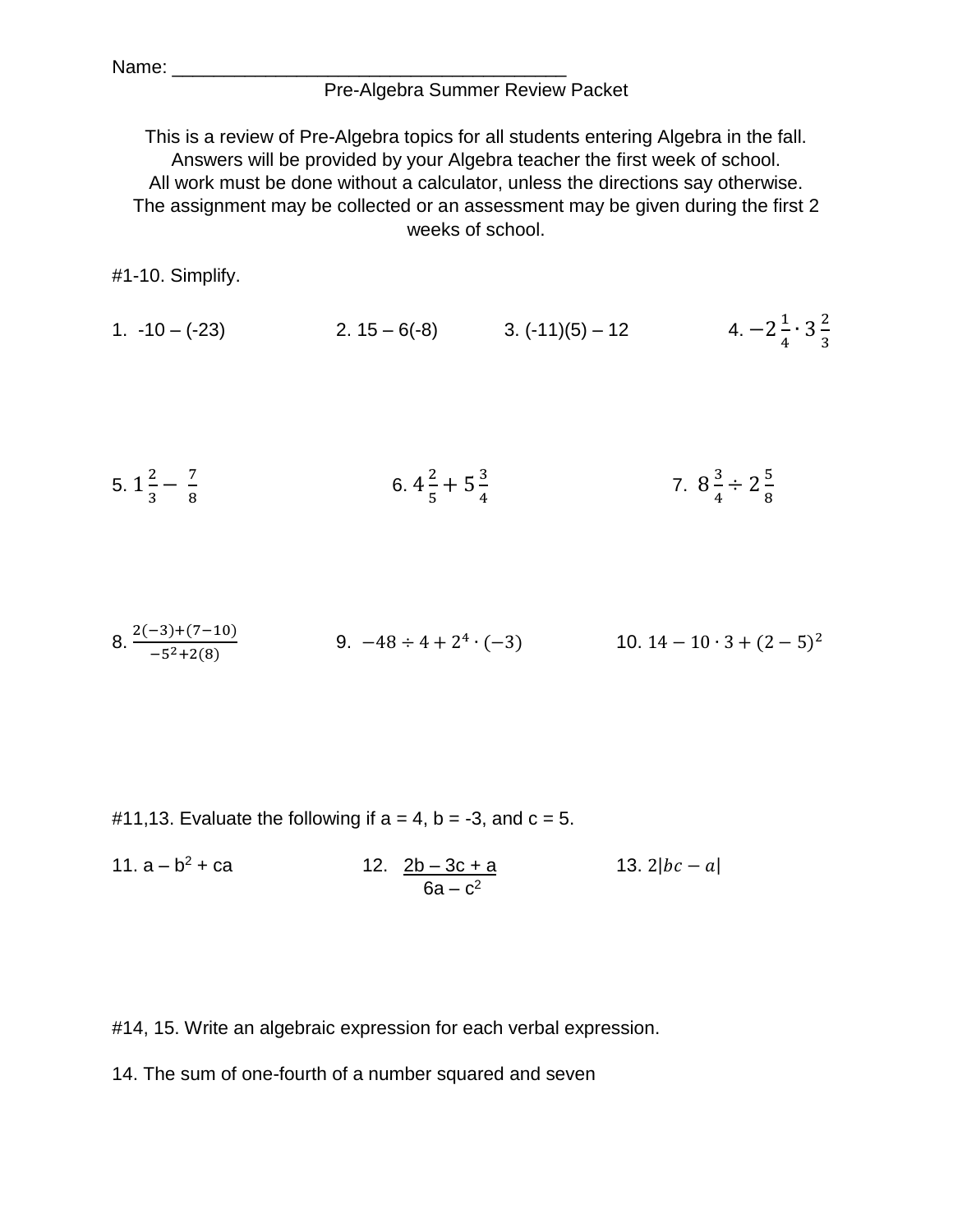## Pre-Algebra Summer Review Packet

This is a review of Pre-Algebra topics for all students entering Algebra in the fall. Answers will be provided by your Algebra teacher the first week of school. All work must be done without a calculator, unless the directions say otherwise. The assignment may be collected or an assessment may be given during the first 2 weeks of school.

#1-10. Simplify.

1.  $-10 - (-23)$  2.  $15 - 6(-8)$  3.  $(-11)(5) - 12$ 1  $\frac{1}{4} \cdot 3\frac{2}{3}$ 3

5. 
$$
1\frac{2}{3} - \frac{7}{8}
$$
 6.  $4\frac{2}{5} + 5\frac{3}{4}$  7.  $8\frac{3}{4} \div 2\frac{5}{8}$ 

8. 
$$
\frac{2(-3)+(7-10)}{-5^2+2(8)}
$$
 9. -48 ÷ 4 + 2<sup>4</sup> · (-3) 10. 14 - 10 · 3 + (2-5)<sup>2</sup>

#11,13. Evaluate the following if  $a = 4$ ,  $b = -3$ , and  $c = 5$ .

11. 
$$
a - b^2 + ca
$$
  
12.  $\underline{2b - 3c + a}$   
6a - c<sup>2</sup>  
13.  $2|bc - a|$ 

#14, 15. Write an algebraic expression for each verbal expression.

14. The sum of one-fourth of a number squared and seven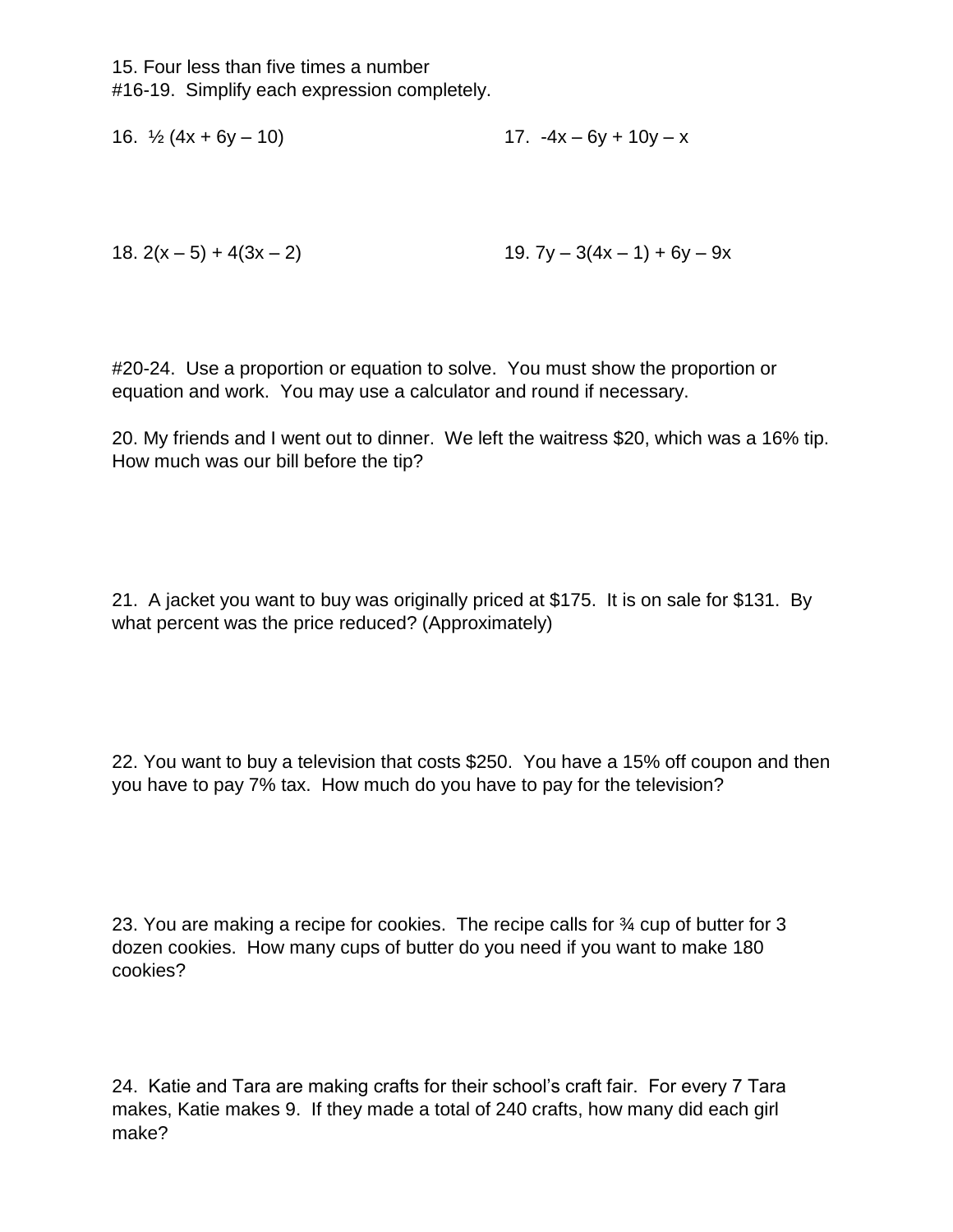15. Four less than five times a number #16-19. Simplify each expression completely.

16.  $\frac{1}{2}$  (4x + 6y – 10) 17. -4x – 6y + 10y – x

18.  $2(x-5) + 4(3x - 2)$  19.  $7y - 3(4x - 1) + 6y - 9x$ 

#20-24. Use a proportion or equation to solve. You must show the proportion or equation and work. You may use a calculator and round if necessary.

20. My friends and I went out to dinner. We left the waitress \$20, which was a 16% tip. How much was our bill before the tip?

21. A jacket you want to buy was originally priced at \$175. It is on sale for \$131. By what percent was the price reduced? (Approximately)

22. You want to buy a television that costs \$250. You have a 15% off coupon and then you have to pay 7% tax. How much do you have to pay for the television?

23. You are making a recipe for cookies. The recipe calls for ¾ cup of butter for 3 dozen cookies. How many cups of butter do you need if you want to make 180 cookies?

24. Katie and Tara are making crafts for their school's craft fair. For every 7 Tara makes, Katie makes 9. If they made a total of 240 crafts, how many did each girl make?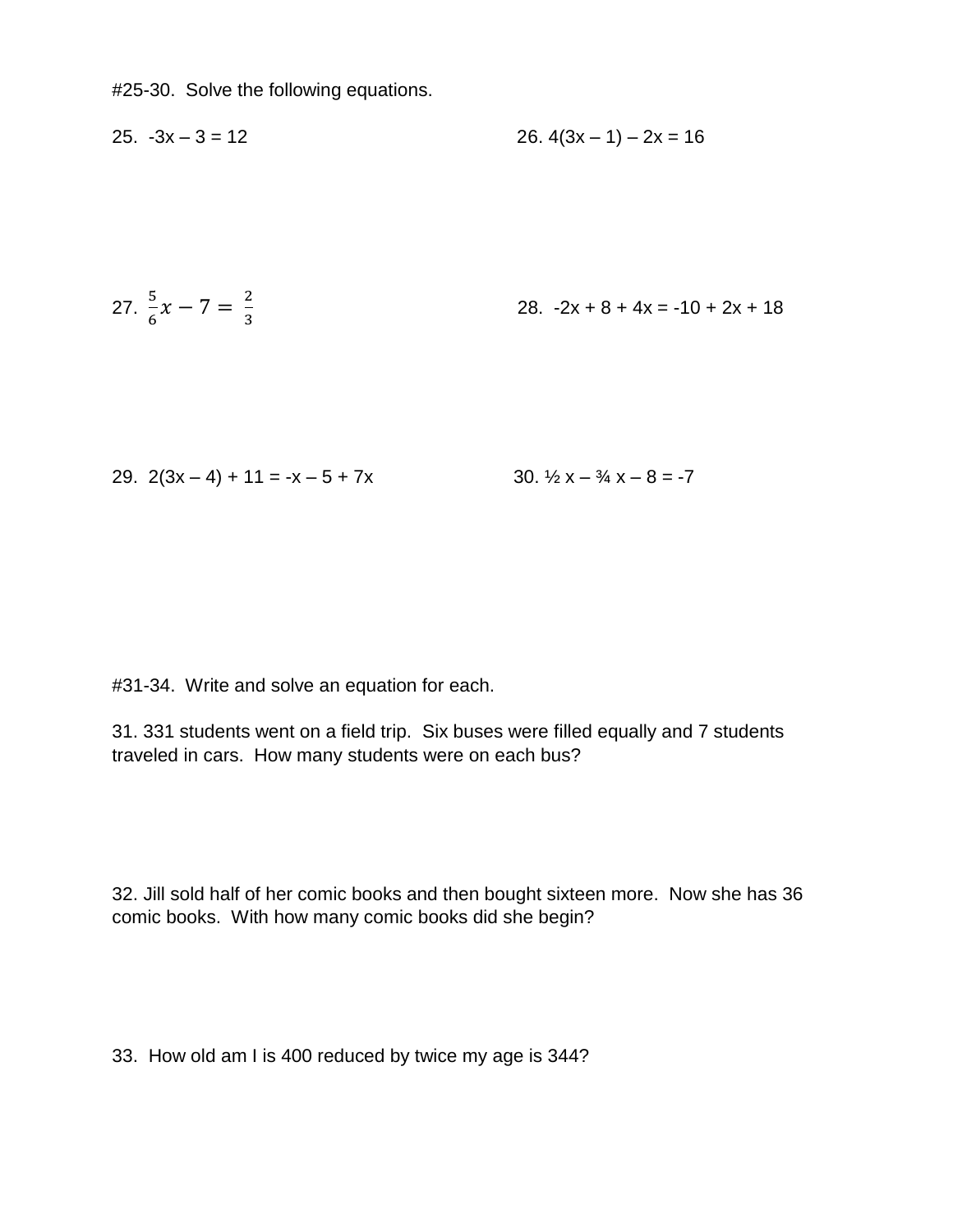#25-30. Solve the following equations.

$$
25. -3x - 3 = 12
$$
 26.  $4(3x - 1) - 2x = 16$ 

27. 
$$
\frac{5}{6}x - 7 = \frac{2}{3}
$$
 28.  $-2x + 8 + 4x = -10 + 2x + 18$ 

29. 
$$
2(3x-4) + 11 = -x - 5 + 7x
$$
  
30.  $\frac{1}{2}x - \frac{3}{4}x - 8 = -7$ 

#31-34. Write and solve an equation for each.

31. 331 students went on a field trip. Six buses were filled equally and 7 students traveled in cars. How many students were on each bus?

32. Jill sold half of her comic books and then bought sixteen more. Now she has 36 comic books. With how many comic books did she begin?

33. How old am I is 400 reduced by twice my age is 344?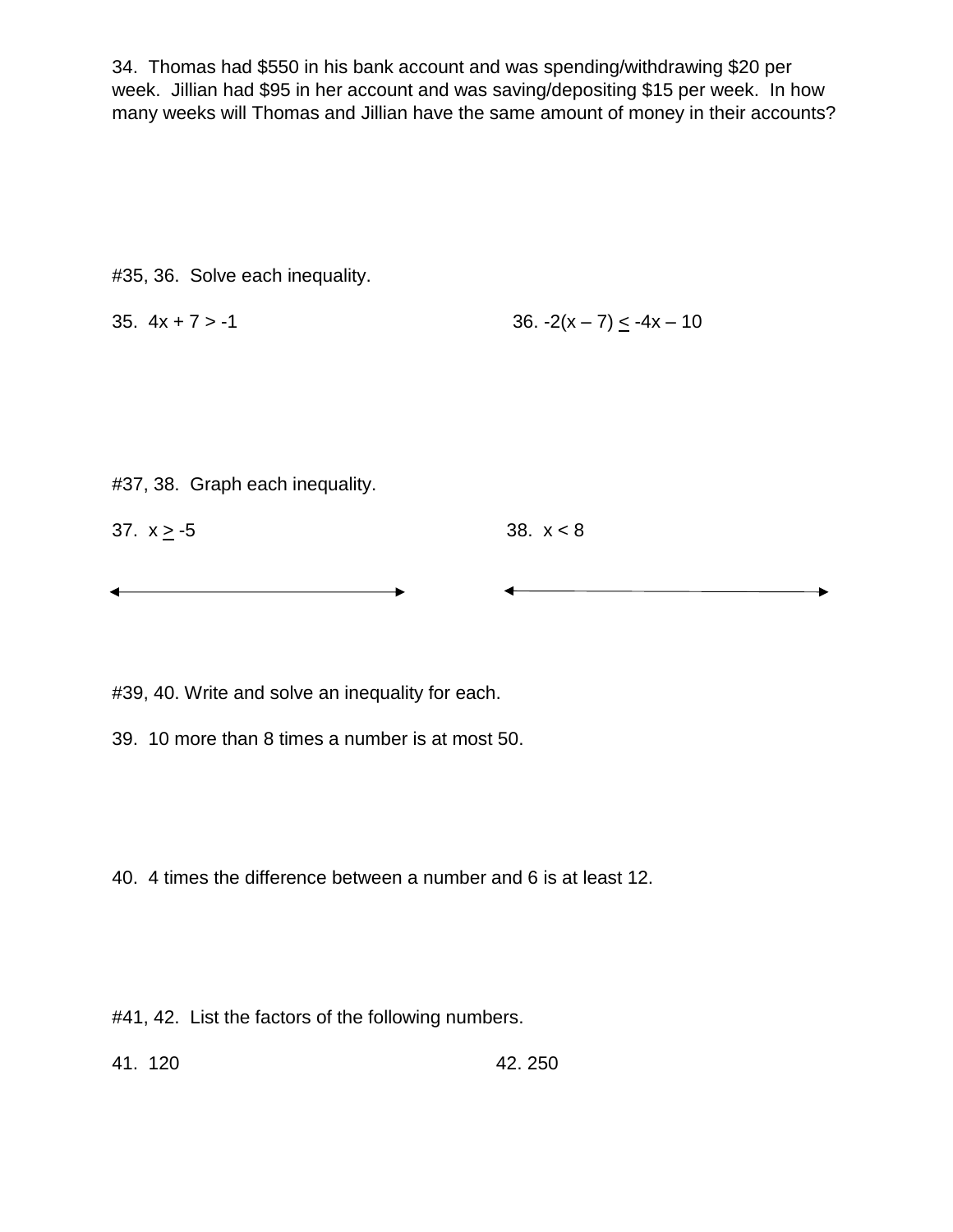34. Thomas had \$550 in his bank account and was spending/withdrawing \$20 per week. Jillian had \$95 in her account and was saving/depositing \$15 per week. In how many weeks will Thomas and Jillian have the same amount of money in their accounts?

#35, 36. Solve each inequality.

35. 
$$
4x + 7 > -1
$$
 36.  $-2(x - 7) \le -4x - 10$ 

#37, 38. Graph each inequality.

| $37. x > -5$ | 38. $x < 8$ |
|--------------|-------------|
|--------------|-------------|

#39, 40. Write and solve an inequality for each.

39. 10 more than 8 times a number is at most 50.

40. 4 times the difference between a number and 6 is at least 12.

#41, 42. List the factors of the following numbers.

41. 120 42. 250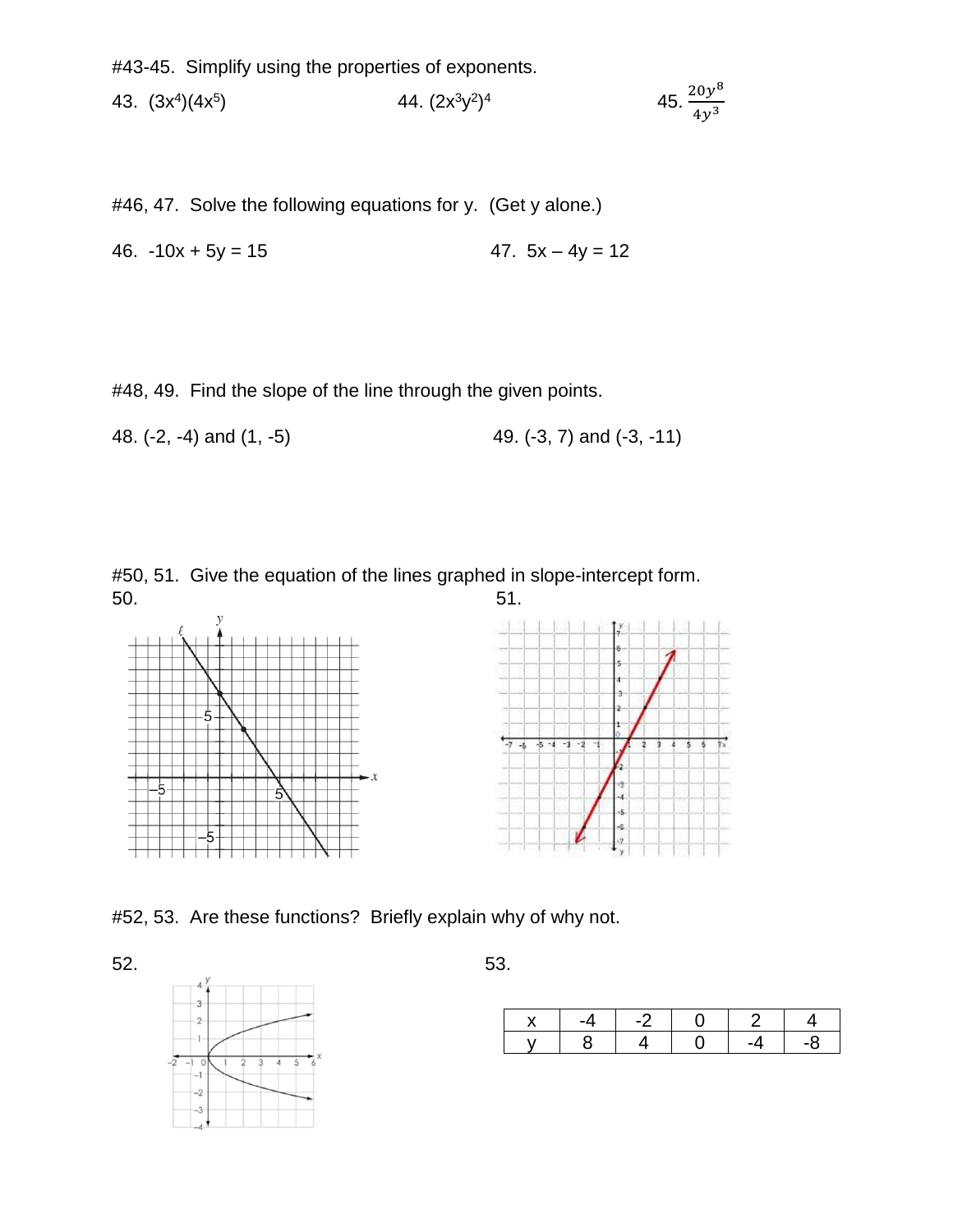#43-45. Simplify using the properties of exponents.

43.  $(3x^4)(4x^5)$  $(2x^3y^2)^4$  $45. \frac{20y^8}{4}$  $4y^3$ 

#46, 47. Solve the following equations for y. (Get y alone.)

46.  $-10x + 5y = 15$  47.  $5x - 4y = 12$ 

#48, 49. Find the slope of the line through the given points.

48. (-2, -4) and (1, -5) 49. (-3, 7) and (-3, -11)

#50, 51. Give the equation of the lines graphed in slope-intercept form.



#52, 53. Are these functions? Briefly explain why of why not.